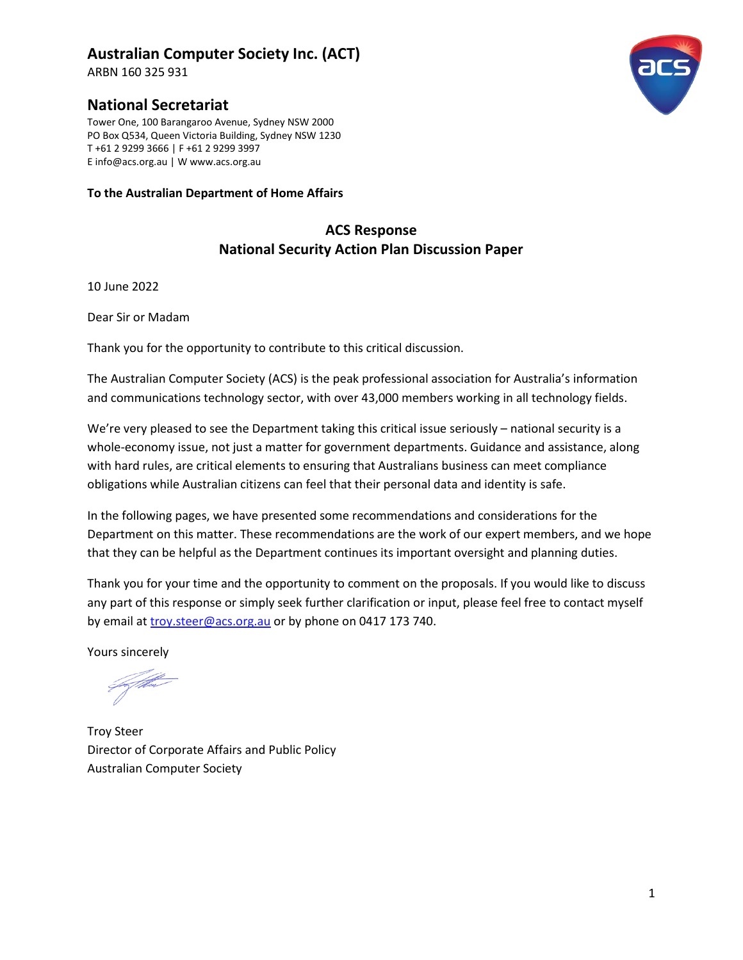## **Australian Computer Society Inc. (ACT)**

ARBN 160 325 931

## **National Secretariat**

Tower One, 100 Barangaroo Avenue, Sydney NSW 2000 PO Box Q534, Queen Victoria Building, Sydney NSW 1230 T +61 2 9299 3666 | F +61 2 9299 3997 E info@acs.org.au | W www.acs.org.au

#### **To the Australian Department of Home Affairs**

## **ACS Response National Security Action Plan Discussion Paper**

10 June 2022

Dear Sir or Madam

Thank you for the opportunity to contribute to this critical discussion.

The Australian Computer Society (ACS) is the peak professional association for Australia's information and communications technology sector, with over 43,000 members working in all technology fields.

We're very pleased to see the Department taking this critical issue seriously – national security is a whole-economy issue, not just a matter for government departments. Guidance and assistance, along with hard rules, are critical elements to ensuring that Australians business can meet compliance obligations while Australian citizens can feel that their personal data and identity is safe.

In the following pages, we have presented some recommendations and considerations for the Department on this matter. These recommendations are the work of our expert members, and we hope that they can be helpful as the Department continues its important oversight and planning duties.

Thank you for your time and the opportunity to comment on the proposals. If you would like to discuss any part of this response or simply seek further clarification or input, please feel free to contact myself by email at [troy.steer@acs.org.au](mailto:troy.steer@acs.org.au) or by phone on 0417 173 740.

Yours sincerely

Faf theo

Troy Steer Director of Corporate Affairs and Public Policy Australian Computer Society

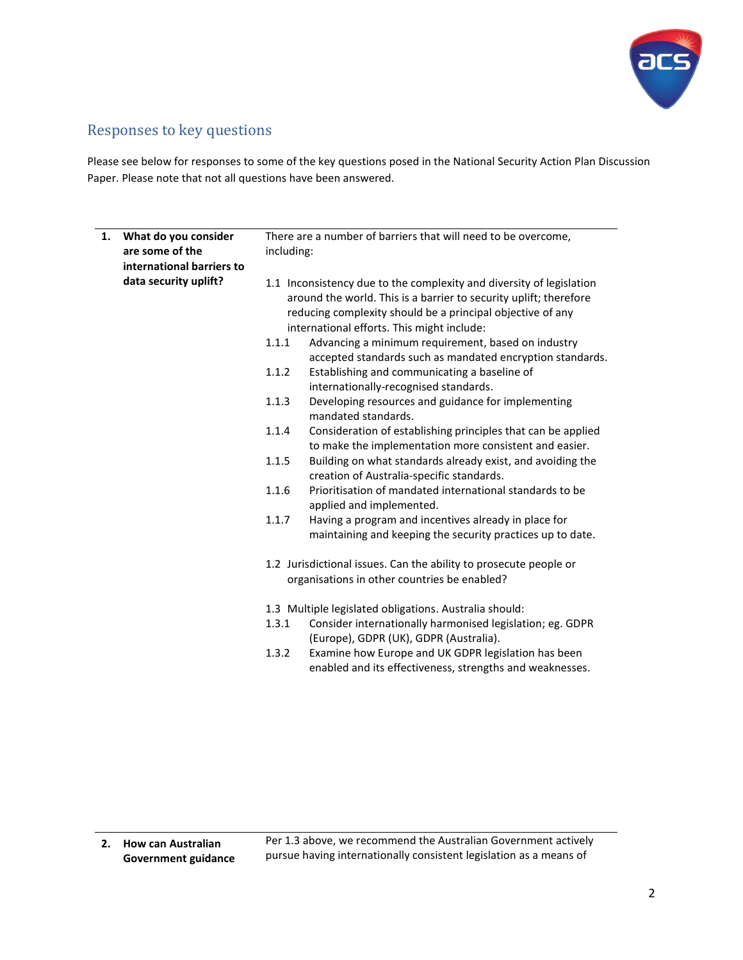

# Responses to key questions

Please see below for responses to some of the key questions posed in the National Security Action Plan Discussion Paper. Please note that not all questions have been answered.

| 1. | What do you consider<br>are some of the<br>international barriers to | There are a number of barriers that will need to be overcome,<br>including:                                                                                                 |                                                                                                                                                                                                                                                       |  |
|----|----------------------------------------------------------------------|-----------------------------------------------------------------------------------------------------------------------------------------------------------------------------|-------------------------------------------------------------------------------------------------------------------------------------------------------------------------------------------------------------------------------------------------------|--|
|    | data security uplift?                                                |                                                                                                                                                                             | 1.1 Inconsistency due to the complexity and diversity of legislation<br>around the world. This is a barrier to security uplift; therefore<br>reducing complexity should be a principal objective of any<br>international efforts. This might include: |  |
|    |                                                                      | 1.1.1                                                                                                                                                                       | Advancing a minimum requirement, based on industry<br>accepted standards such as mandated encryption standards.                                                                                                                                       |  |
|    |                                                                      | 1.1.2                                                                                                                                                                       | Establishing and communicating a baseline of<br>internationally-recognised standards.                                                                                                                                                                 |  |
|    |                                                                      | 1.1.3                                                                                                                                                                       | Developing resources and guidance for implementing<br>mandated standards.                                                                                                                                                                             |  |
|    |                                                                      | 1.1.4                                                                                                                                                                       | Consideration of establishing principles that can be applied<br>to make the implementation more consistent and easier.                                                                                                                                |  |
|    |                                                                      | 1.1.5                                                                                                                                                                       | Building on what standards already exist, and avoiding the<br>creation of Australia-specific standards.                                                                                                                                               |  |
|    |                                                                      | 1.1.6                                                                                                                                                                       | Prioritisation of mandated international standards to be<br>applied and implemented.                                                                                                                                                                  |  |
|    |                                                                      | 1.1.7                                                                                                                                                                       | Having a program and incentives already in place for<br>maintaining and keeping the security practices up to date.                                                                                                                                    |  |
|    |                                                                      | 1.2 Jurisdictional issues. Can the ability to prosecute people or<br>organisations in other countries be enabled?<br>1.3 Multiple legislated obligations. Australia should: |                                                                                                                                                                                                                                                       |  |
|    |                                                                      |                                                                                                                                                                             |                                                                                                                                                                                                                                                       |  |
|    |                                                                      | 1.3.1                                                                                                                                                                       | Consider internationally harmonised legislation; eg. GDPR<br>(Europe), GDPR (UK), GDPR (Australia).                                                                                                                                                   |  |
|    |                                                                      | 1.3.2                                                                                                                                                                       | Examine how Europe and UK GDPR legislation has been<br>enabled and its effectiveness, strengths and weaknesses.                                                                                                                                       |  |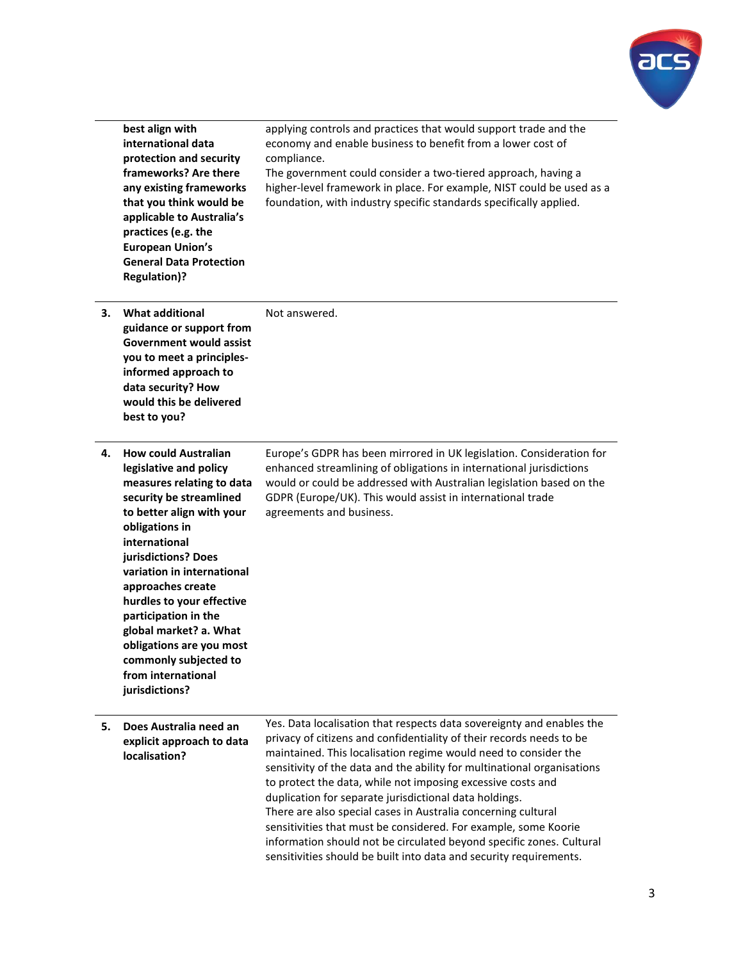

|    | best align with<br>international data<br>protection and security<br>frameworks? Are there<br>any existing frameworks<br>that you think would be<br>applicable to Australia's<br>practices (e.g. the<br><b>European Union's</b><br><b>General Data Protection</b><br><b>Regulation)?</b>                                                                                                                                             | applying controls and practices that would support trade and the<br>economy and enable business to benefit from a lower cost of<br>compliance.<br>The government could consider a two-tiered approach, having a<br>higher-level framework in place. For example, NIST could be used as a<br>foundation, with industry specific standards specifically applied.                                                                                                                                                                                                                                                                                                                                         |
|----|-------------------------------------------------------------------------------------------------------------------------------------------------------------------------------------------------------------------------------------------------------------------------------------------------------------------------------------------------------------------------------------------------------------------------------------|--------------------------------------------------------------------------------------------------------------------------------------------------------------------------------------------------------------------------------------------------------------------------------------------------------------------------------------------------------------------------------------------------------------------------------------------------------------------------------------------------------------------------------------------------------------------------------------------------------------------------------------------------------------------------------------------------------|
| З. | <b>What additional</b><br>guidance or support from<br><b>Government would assist</b><br>you to meet a principles-<br>informed approach to<br>data security? How<br>would this be delivered<br>best to you?                                                                                                                                                                                                                          | Not answered.                                                                                                                                                                                                                                                                                                                                                                                                                                                                                                                                                                                                                                                                                          |
| 4. | <b>How could Australian</b><br>legislative and policy<br>measures relating to data<br>security be streamlined<br>to better align with your<br>obligations in<br>international<br>jurisdictions? Does<br>variation in international<br>approaches create<br>hurdles to your effective<br>participation in the<br>global market? a. What<br>obligations are you most<br>commonly subjected to<br>from international<br>jurisdictions? | Europe's GDPR has been mirrored in UK legislation. Consideration for<br>enhanced streamlining of obligations in international jurisdictions<br>would or could be addressed with Australian legislation based on the<br>GDPR (Europe/UK). This would assist in international trade<br>agreements and business.                                                                                                                                                                                                                                                                                                                                                                                          |
| 5. | Does Australia need an<br>explicit approach to data<br>localisation?                                                                                                                                                                                                                                                                                                                                                                | Yes. Data localisation that respects data sovereignty and enables the<br>privacy of citizens and confidentiality of their records needs to be<br>maintained. This localisation regime would need to consider the<br>sensitivity of the data and the ability for multinational organisations<br>to protect the data, while not imposing excessive costs and<br>duplication for separate jurisdictional data holdings.<br>There are also special cases in Australia concerning cultural<br>sensitivities that must be considered. For example, some Koorie<br>information should not be circulated beyond specific zones. Cultural<br>sensitivities should be built into data and security requirements. |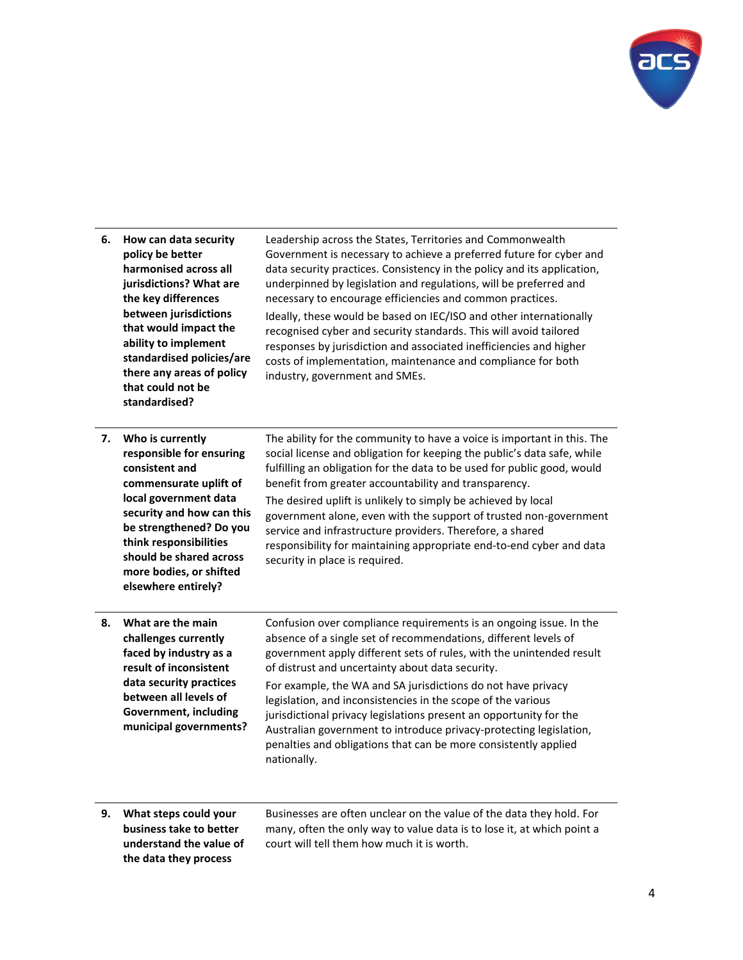

| How can data security<br>policy be better<br>harmonised across all<br>jurisdictions? What are<br>the key differences<br>between jurisdictions<br>that would impact the<br>ability to implement<br>standardised policies/are<br>there any areas of policy<br>that could not be<br>standardised? | Leadership across the States, Territories and Commonwealth<br>Government is necessary to achieve a preferred future for cyber and<br>data security practices. Consistency in the policy and its application,<br>underpinned by legislation and regulations, will be preferred and<br>necessary to encourage efficiencies and common practices.<br>Ideally, these would be based on IEC/ISO and other internationally<br>recognised cyber and security standards. This will avoid tailored<br>responses by jurisdiction and associated inefficiencies and higher<br>costs of implementation, maintenance and compliance for both<br>industry, government and SMEs. |
|------------------------------------------------------------------------------------------------------------------------------------------------------------------------------------------------------------------------------------------------------------------------------------------------|-------------------------------------------------------------------------------------------------------------------------------------------------------------------------------------------------------------------------------------------------------------------------------------------------------------------------------------------------------------------------------------------------------------------------------------------------------------------------------------------------------------------------------------------------------------------------------------------------------------------------------------------------------------------|
| Who is currently<br>responsible for ensuring<br>consistent and<br>commensurate uplift of<br>local government data<br>security and how can this<br>be strengthened? Do you<br>think responsibilities<br>should be shared across<br>more bodies, or shifted<br>elsewhere entirely?               | The ability for the community to have a voice is important in this. The<br>social license and obligation for keeping the public's data safe, while<br>fulfilling an obligation for the data to be used for public good, would<br>benefit from greater accountability and transparency.<br>The desired uplift is unlikely to simply be achieved by local<br>government alone, even with the support of trusted non-government<br>service and infrastructure providers. Therefore, a shared<br>responsibility for maintaining appropriate end-to-end cyber and data<br>security in place is required.                                                               |
| What are the main<br>challenges currently<br>faced by industry as a<br>result of inconsistent<br>data security practices<br>between all levels of<br><b>Government, including</b><br>municipal governments?                                                                                    | Confusion over compliance requirements is an ongoing issue. In the<br>absence of a single set of recommendations, different levels of<br>government apply different sets of rules, with the unintended result<br>of distrust and uncertainty about data security.<br>For example, the WA and SA jurisdictions do not have privacy<br>legislation, and inconsistencies in the scope of the various<br>jurisdictional privacy legislations present an opportunity for the<br>Australian government to introduce privacy-protecting legislation,<br>penalties and obligations that can be more consistently applied<br>nationally.                                   |
|                                                                                                                                                                                                                                                                                                |                                                                                                                                                                                                                                                                                                                                                                                                                                                                                                                                                                                                                                                                   |

**9. What steps could your business take to better understand the value of the data they process** 

Businesses are often unclear on the value of the data they hold. For many, often the only way to value data is to lose it, at which point a court will tell them how much it is worth.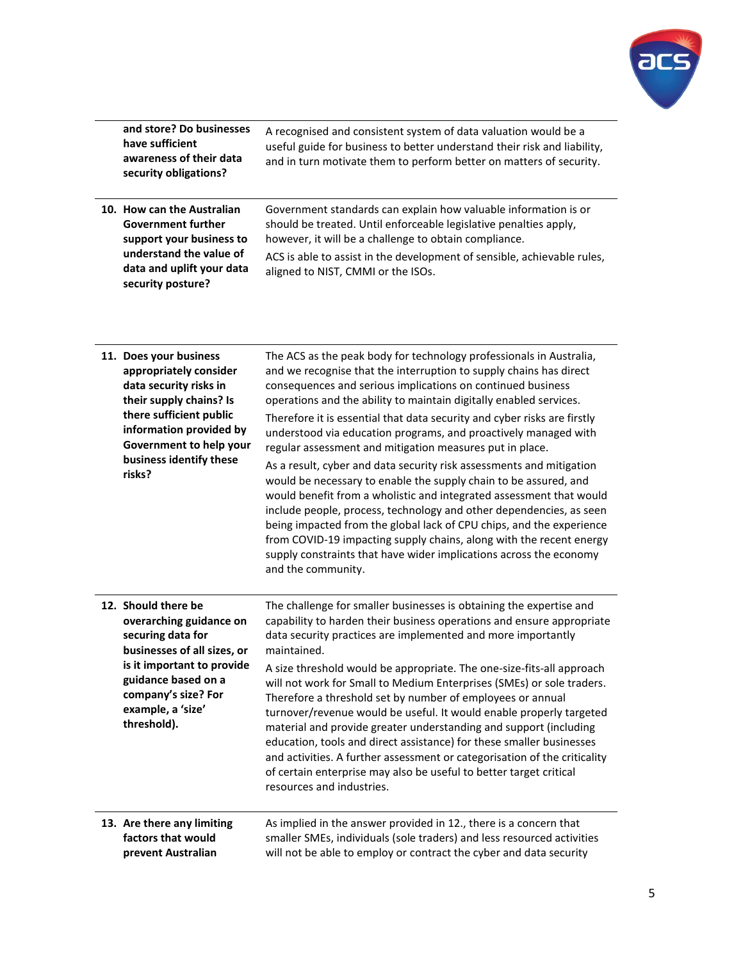

| and store? Do businesses<br>have sufficient<br>awareness of their data<br>security obligations?                                                                                                                             | A recognised and consistent system of data valuation would be a<br>useful guide for business to better understand their risk and liability,<br>and in turn motivate them to perform better on matters of security.                                                                                                                                                                                                                                                                                                                                                                                                                                                                                                                                                                                                                                                                                                                                                                                                             |
|-----------------------------------------------------------------------------------------------------------------------------------------------------------------------------------------------------------------------------|--------------------------------------------------------------------------------------------------------------------------------------------------------------------------------------------------------------------------------------------------------------------------------------------------------------------------------------------------------------------------------------------------------------------------------------------------------------------------------------------------------------------------------------------------------------------------------------------------------------------------------------------------------------------------------------------------------------------------------------------------------------------------------------------------------------------------------------------------------------------------------------------------------------------------------------------------------------------------------------------------------------------------------|
| 10. How can the Australian<br><b>Government further</b><br>support your business to<br>understand the value of<br>data and uplift your data<br>security posture?                                                            | Government standards can explain how valuable information is or<br>should be treated. Until enforceable legislative penalties apply,<br>however, it will be a challenge to obtain compliance.<br>ACS is able to assist in the development of sensible, achievable rules,<br>aligned to NIST, CMMI or the ISOs.                                                                                                                                                                                                                                                                                                                                                                                                                                                                                                                                                                                                                                                                                                                 |
| 11. Does your business<br>appropriately consider<br>data security risks in<br>their supply chains? Is<br>there sufficient public<br>information provided by<br>Government to help your<br>business identify these<br>risks? | The ACS as the peak body for technology professionals in Australia,<br>and we recognise that the interruption to supply chains has direct<br>consequences and serious implications on continued business<br>operations and the ability to maintain digitally enabled services.<br>Therefore it is essential that data security and cyber risks are firstly<br>understood via education programs, and proactively managed with<br>regular assessment and mitigation measures put in place.<br>As a result, cyber and data security risk assessments and mitigation<br>would be necessary to enable the supply chain to be assured, and<br>would benefit from a wholistic and integrated assessment that would<br>include people, process, technology and other dependencies, as seen<br>being impacted from the global lack of CPU chips, and the experience<br>from COVID-19 impacting supply chains, along with the recent energy<br>supply constraints that have wider implications across the economy<br>and the community. |
| 12. Should there be<br>overarching guidance on<br>securing data for<br>businesses of all sizes, or<br>is it important to provide<br>guidance based on a<br>company's size? For<br>example, a 'size'<br>threshold).          | The challenge for smaller businesses is obtaining the expertise and<br>capability to harden their business operations and ensure appropriate<br>data security practices are implemented and more importantly<br>maintained.<br>A size threshold would be appropriate. The one-size-fits-all approach<br>will not work for Small to Medium Enterprises (SMEs) or sole traders.<br>Therefore a threshold set by number of employees or annual<br>turnover/revenue would be useful. It would enable properly targeted<br>material and provide greater understanding and support (including<br>education, tools and direct assistance) for these smaller businesses<br>and activities. A further assessment or categorisation of the criticality<br>of certain enterprise may also be useful to better target critical<br>resources and industries.                                                                                                                                                                                |
| 13. Are there any limiting<br>factors that would<br>prevent Australian                                                                                                                                                      | As implied in the answer provided in 12., there is a concern that<br>smaller SMEs, individuals (sole traders) and less resourced activities<br>will not be able to employ or contract the cyber and data security                                                                                                                                                                                                                                                                                                                                                                                                                                                                                                                                                                                                                                                                                                                                                                                                              |